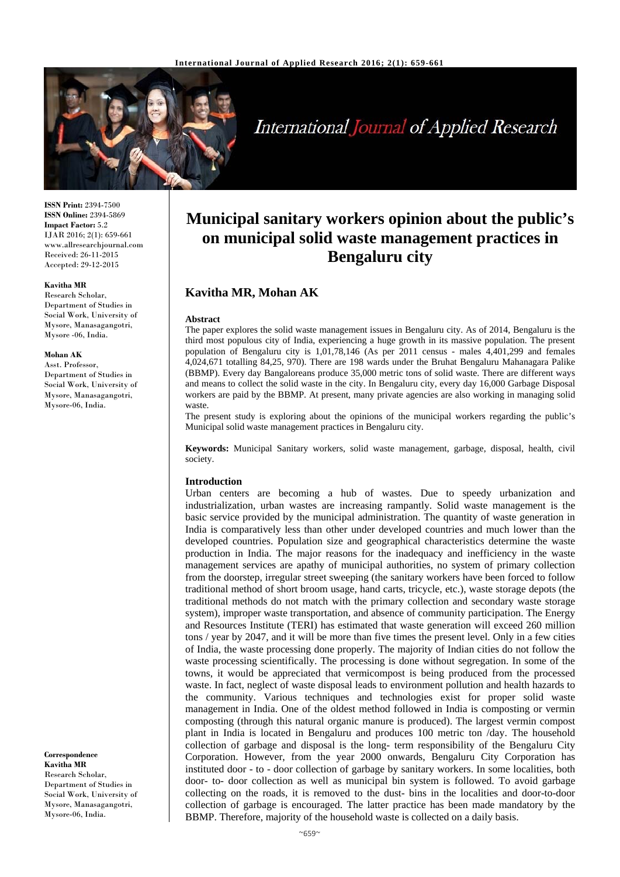

# International Journal of Applied Research

**ISSN Print:** 2394-7500 **ISSN Online:** 2394-5869 **Impact Factor:** 5.2 IJAR 2016; 2(1): 659-661 www.allresearchjournal.com Received: 26-11-2015 Accepted: 29-12-2015

#### **Kavitha MR**

Research Scholar, Department of Studies in Social Work, University of Mysore, Manasagangotri, Mysore -06, India.

#### **Mohan AK**

Asst. Professor, Department of Studies in Social Work, University of Mysore, Manasagangotri, Mysore-06, India.

**Correspondence Kavitha MR**  Research Scholar, Department of Studies in Social Work, University of Mysore, Manasagangotri, Mysore-06, India.

## **Municipal sanitary workers opinion about the public's on municipal solid waste management practices in Bengaluru city**

## **Kavitha MR, Mohan AK**

#### **Abstract**

The paper explores the solid waste management issues in Bengaluru city. As of 2014, Bengaluru is the third most populous city of India, experiencing a huge growth in its massive population. The present population of Bengaluru city is 1,01,78,146 (As per 2011 census - males 4,401,299 and females 4,024,671 totalling 84,25, 970). There are 198 wards under the Bruhat Bengaluru Mahanagara Palike (BBMP). Every day Bangaloreans produce 35,000 metric tons of solid waste. There are different ways and means to collect the solid waste in the city. In Bengaluru city, every day 16,000 Garbage Disposal workers are paid by the BBMP. At present, many private agencies are also working in managing solid waste.

The present study is exploring about the opinions of the municipal workers regarding the public's Municipal solid waste management practices in Bengaluru city.

**Keywords:** Municipal Sanitary workers, solid waste management, garbage, disposal, health, civil society.

#### **Introduction**

Urban centers are becoming a hub of wastes. Due to speedy urbanization and industrialization, urban wastes are increasing rampantly. Solid waste management is the basic service provided by the municipal administration. The quantity of waste generation in India is comparatively less than other under developed countries and much lower than the developed countries. Population size and geographical characteristics determine the waste production in India. The major reasons for the inadequacy and inefficiency in the waste management services are apathy of municipal authorities, no system of primary collection from the doorstep, irregular street sweeping (the sanitary workers have been forced to follow traditional method of short broom usage, hand carts, tricycle, etc.), waste storage depots (the traditional methods do not match with the primary collection and secondary waste storage system), improper waste transportation, and absence of community participation. The Energy and Resources Institute (TERI) has estimated that waste generation will exceed 260 million tons / year by 2047, and it will be more than five times the present level. Only in a few cities of India, the waste processing done properly. The majority of Indian cities do not follow the waste processing scientifically. The processing is done without segregation. In some of the towns, it would be appreciated that vermicompost is being produced from the processed waste. In fact, neglect of waste disposal leads to environment pollution and health hazards to the community. Various techniques and technologies exist for proper solid waste management in India. One of the oldest method followed in India is composting or vermin composting (through this natural organic manure is produced). The largest vermin compost plant in India is located in Bengaluru and produces 100 metric ton /day. The household collection of garbage and disposal is the long- term responsibility of the Bengaluru City Corporation. However, from the year 2000 onwards, Bengaluru City Corporation has instituted door - to - door collection of garbage by sanitary workers. In some localities, both door- to- door collection as well as municipal bin system is followed. To avoid garbage collecting on the roads, it is removed to the dust- bins in the localities and door-to-door collection of garbage is encouraged. The latter practice has been made mandatory by the BBMP. Therefore, majority of the household waste is collected on a daily basis.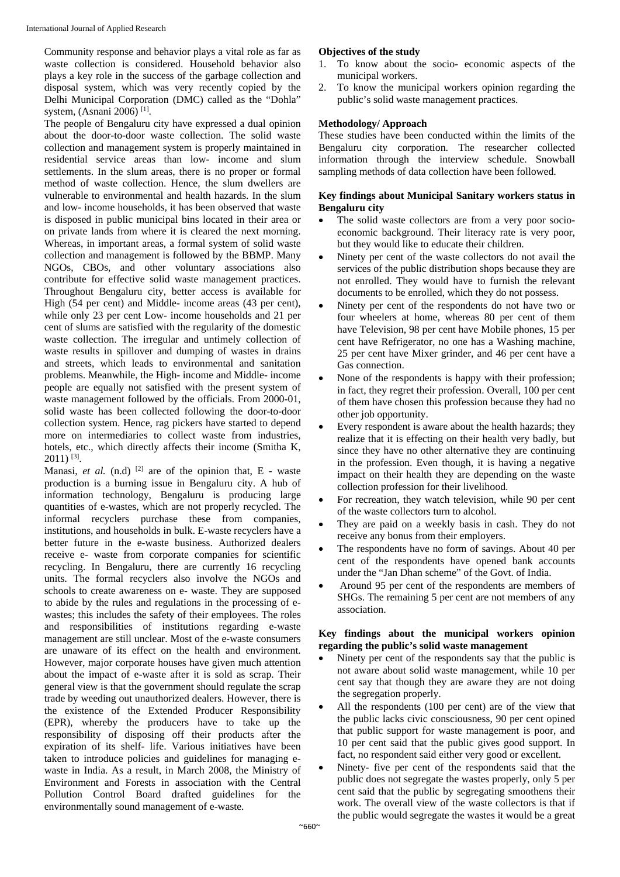Community response and behavior plays a vital role as far as waste collection is considered. Household behavior also plays a key role in the success of the garbage collection and disposal system, which was very recently copied by the Delhi Municipal Corporation (DMC) called as the "Dohla" system, (Asnani 2006) [1].

The people of Bengaluru city have expressed a dual opinion about the door-to-door waste collection. The solid waste collection and management system is properly maintained in residential service areas than low- income and slum settlements. In the slum areas, there is no proper or formal method of waste collection. Hence, the slum dwellers are vulnerable to environmental and health hazards. In the slum and low- income households, it has been observed that waste is disposed in public municipal bins located in their area or on private lands from where it is cleared the next morning. Whereas, in important areas, a formal system of solid waste collection and management is followed by the BBMP. Many NGOs, CBOs, and other voluntary associations also contribute for effective solid waste management practices. Throughout Bengaluru city, better access is available for High (54 per cent) and Middle- income areas (43 per cent), while only 23 per cent Low- income households and 21 per cent of slums are satisfied with the regularity of the domestic waste collection. The irregular and untimely collection of waste results in spillover and dumping of wastes in drains and streets, which leads to environmental and sanitation problems. Meanwhile, the High- income and Middle- income people are equally not satisfied with the present system of waste management followed by the officials. From 2000-01, solid waste has been collected following the door-to-door collection system. Hence, rag pickers have started to depend more on intermediaries to collect waste from industries, hotels, etc., which directly affects their income (Smitha K,  $2011$ ) <sup>[3]</sup>.

Manasi, *et al.* (n.d)  $^{[2]}$  are of the opinion that,  $E$  - waste production is a burning issue in Bengaluru city. A hub of information technology, Bengaluru is producing large quantities of e-wastes, which are not properly recycled. The informal recyclers purchase these from companies, institutions, and households in bulk. E-waste recyclers have a better future in the e-waste business. Authorized dealers receive e- waste from corporate companies for scientific recycling. In Bengaluru, there are currently 16 recycling units. The formal recyclers also involve the NGOs and schools to create awareness on e- waste. They are supposed to abide by the rules and regulations in the processing of ewastes; this includes the safety of their employees. The roles and responsibilities of institutions regarding e-waste management are still unclear. Most of the e-waste consumers are unaware of its effect on the health and environment. However, major corporate houses have given much attention about the impact of e-waste after it is sold as scrap. Their general view is that the government should regulate the scrap trade by weeding out unauthorized dealers. However, there is the existence of the Extended Producer Responsibility (EPR), whereby the producers have to take up the responsibility of disposing off their products after the expiration of its shelf- life. Various initiatives have been taken to introduce policies and guidelines for managing ewaste in India. As a result, in March 2008, the Ministry of Environment and Forests in association with the Central Pollution Control Board drafted guidelines for the environmentally sound management of e-waste.

## **Objectives of the study**

- 1. To know about the socio- economic aspects of the municipal workers.
- 2. To know the municipal workers opinion regarding the public's solid waste management practices.

#### **Methodology/ Approach**

These studies have been conducted within the limits of the Bengaluru city corporation. The researcher collected information through the interview schedule. Snowball sampling methods of data collection have been followed.

#### **Key findings about Municipal Sanitary workers status in Bengaluru city**

- The solid waste collectors are from a very poor socioeconomic background. Their literacy rate is very poor, but they would like to educate their children.
- Ninety per cent of the waste collectors do not avail the services of the public distribution shops because they are not enrolled. They would have to furnish the relevant documents to be enrolled, which they do not possess.
- Ninety per cent of the respondents do not have two or four wheelers at home, whereas 80 per cent of them have Television, 98 per cent have Mobile phones, 15 per cent have Refrigerator, no one has a Washing machine, 25 per cent have Mixer grinder, and 46 per cent have a Gas connection.
- None of the respondents is happy with their profession; in fact, they regret their profession. Overall, 100 per cent of them have chosen this profession because they had no other job opportunity.
- Every respondent is aware about the health hazards; they realize that it is effecting on their health very badly, but since they have no other alternative they are continuing in the profession. Even though, it is having a negative impact on their health they are depending on the waste collection profession for their livelihood.
- For recreation, they watch television, while 90 per cent of the waste collectors turn to alcohol.
- They are paid on a weekly basis in cash. They do not receive any bonus from their employers.
- The respondents have no form of savings. About 40 per cent of the respondents have opened bank accounts under the "Jan Dhan scheme" of the Govt. of India.
- Around 95 per cent of the respondents are members of SHGs. The remaining 5 per cent are not members of any association.

#### **Key findings about the municipal workers opinion regarding the public's solid waste management**

- Ninety per cent of the respondents say that the public is not aware about solid waste management, while 10 per cent say that though they are aware they are not doing the segregation properly.
- All the respondents (100 per cent) are of the view that the public lacks civic consciousness, 90 per cent opined that public support for waste management is poor, and 10 per cent said that the public gives good support. In fact, no respondent said either very good or excellent.
- Ninety- five per cent of the respondents said that the public does not segregate the wastes properly, only 5 per cent said that the public by segregating smoothens their work. The overall view of the waste collectors is that if the public would segregate the wastes it would be a great